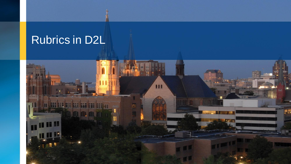### Rubrics in D2L

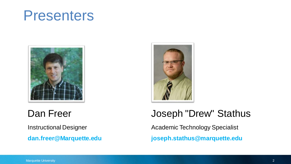## Presenters



#### Dan Freer

Instructional Designer

**dan.freer@Marquette.edu**



#### Joseph "Drew" Stathus

Academic Technology Specialist **joseph.stathus@marquette.edu**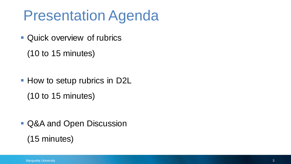## Presentation Agenda

- Quick overview of rubrics
	- (10 to 15 minutes)

■ How to setup rubrics in D2L (10 to 15 minutes)

- Q&A and Open Discussion
	- (15 minutes)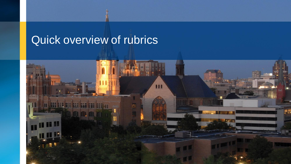### Quick overview of rubrics

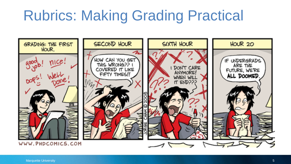## Rubrics: Making Grading Practical

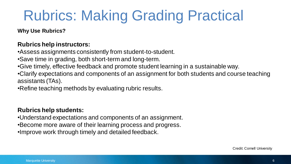# Rubrics: Making Grading Practical

**Why Use Rubrics?**

#### **Rubrics help instructors:**

•Assess assignments consistently from student-to-student.

•Save time in grading, both short-term and long-term.

•Give timely, effective feedback and promote student learning in a sustainable way.

•Clarify expectations and components of an assignment for both students and course teaching assistants (TAs).

•Refine teaching methods by evaluating rubric results.

#### **Rubrics help students:**

•Understand expectations and components of an assignment.

•Become more aware of their learning process and progress.

•Improve work through timely and detailed feedback.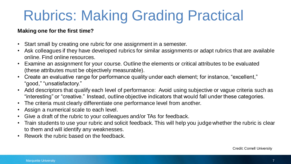# Rubrics: Making Grading Practical

#### **Making one for the first time?**

- Start small by creating one rubric for one assignment in a semester.
- Ask colleagues if they have developed rubrics for similar assignments or adapt rubrics that are available online. Find online resources.
- Examine an assignment for your course. Outline the elements or critical attributes to be evaluated (these attributes must be objectively measurable).
- Create an evaluative range for performance quality under each element; for instance, "excellent," "good," "unsatisfactory."
- Add descriptors that qualify each level of performance: Avoid using subjective or vague criteria such as "interesting" or "creative." Instead, outline objective indicators that would fall under these categories.
- The criteria must clearly differentiate one performance level from another.
- Assign a numerical scale to each level.
- Give a draft of the rubric to your colleagues and/or TAs for feedback.
- Train students to use your rubric and solicit feedback. This will help you judge whether the rubric is clear to them and will identify any weaknesses.
- Rework the rubric based on the feedback.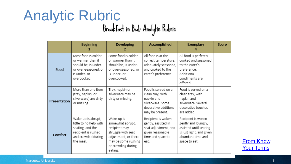#### Marquette University **8**

| <b>Analytic Rubric</b> |                                   |
|------------------------|-----------------------------------|
|                        | Breakfast in Bed: Analytic Rubric |

|                | <b>Beginning</b>                                                                                                           | <b>Developing</b><br>2                                                                                                                                | Accomplished                                                                                                         | <b>Exemplary</b>                                                                                                                       | Score |
|----------------|----------------------------------------------------------------------------------------------------------------------------|-------------------------------------------------------------------------------------------------------------------------------------------------------|----------------------------------------------------------------------------------------------------------------------|----------------------------------------------------------------------------------------------------------------------------------------|-------|
| Food           | Most food is colder<br>or warmer than it<br>should be, is under-<br>or over-seasoned, or<br>is under- or<br>overcooked.    | Some food is colder<br>or warmer than it<br>should be, is under-<br>or over-seasoned, or<br>is under- or<br>overcooked.                               | All food is at the<br>correct temperature,<br>adequately seasoned,<br>and cooked to the<br>eater's preference.       | All food is perfectly<br>cooked and seasoned<br>to the eater's<br>preference.<br>Additional<br>condiments are<br>offered.              |       |
| Presentation   | More than one item<br>(tray, napkin, or<br>silverware) are dirty<br>or missing.                                            | Tray, napkin or<br>silverware may be<br>dirty or missing.                                                                                             | Food is served on a<br>clean tray, with<br>napkin and<br>silverware. Some<br>decorative additions<br>may be present. | Food is served on a<br>clean tray, with<br>napkin and<br>silverware, Several<br>decorative touches<br>are added.                       |       |
| <b>Comfort</b> | Wake-up is abrupt,<br>little to no help with<br>seating, and the<br>recipient is rushed<br>and crowded during<br>the meal. | Wake-up is<br>somewhat abrupt,<br>recipient may<br>struggle with seat<br>adjustment, or there<br>may be some rushing<br>or crowding during<br>eating. | Recipient is woken<br>gently, assisted in<br>seat adjustment, and<br>given reasonable<br>time and space to<br>eat.   | Recipient is woken<br>gently and lovingly,<br>assisted until seating<br>is just right, and given<br>abundant time and<br>space to eat. |       |

**From Know [Your Terms](https://www.cultofpedagogy.com/holistic-analytic-single-point-rubrics/)**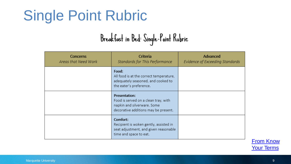## Single Point Rubric

## Breakfast in Bed: Single-Point Rubric

| Concerns<br>Areas that Need Work | Criteria<br>Standards for This Performance                                                                                          | Advanced<br>Evidence of Exceeding Standards |
|----------------------------------|-------------------------------------------------------------------------------------------------------------------------------------|---------------------------------------------|
|                                  | Food:<br>All food is at the correct temperature,<br>adequately seasoned, and cooked to<br>the eater's preference.                   |                                             |
|                                  | <b>Presentation:</b><br>Food is served on a clean tray, with<br>napkin and silverware. Some<br>decorative additions may be present. |                                             |
|                                  | Comfort:<br>Recipient is woken gently, assisted in<br>seat adjustment, and given reasonable<br>time and space to eat.               |                                             |

**From Know** [Your Terms](https://www.cultofpedagogy.com/holistic-analytic-single-point-rubrics/)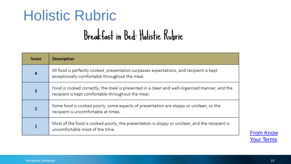## Holistic Rubric

## Breakfast in Bed: Holistic Rubric

| Score          | <b>Description</b>                                                                                                                                  |
|----------------|-----------------------------------------------------------------------------------------------------------------------------------------------------|
| $\overline{4}$ | All food is perfectly cooked, presentation surpasses expectations, and recipient is kept<br>exceptionally comfortable throughout the meal.          |
| 3              | Food is cooked correctly, the meal is presented in a clean and well-organized manner, and the<br>recipient is kept comfortable throughout the meal. |
| $\overline{2}$ | Some food is cooked poorly, some aspects of presentation are sloppy or unclean, or the<br>recipient is uncomfortable at times.                      |
| $\mathbf{1}$   | Most of the food is cooked poorly, the presentation is sloppy or unclean, and the recipient is<br>uncomfortable most of the time.                   |

**From Know** [Your Terms](https://www.cultofpedagogy.com/holistic-analytic-single-point-rubrics/)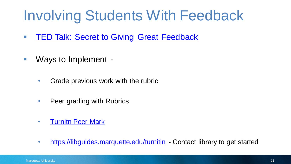## Involving Students With Feedback

- **EX[TED Talk: Secret to Giving Great Feedback](https://www.ted.com/talks/leeann_renninger_the_secret_to_giving_great_feedback?language=en)**
- Ways to Implement -
	- Grade previous work with the rubric
	- Peer grading with Rubrics
	- Turnitn [Peer Mark](https://help.turnitin.com/feedback-studio/turnitin-website/instructor/peermark/about-peermark-assignments.htm)
	- <https://libguides.marquette.edu/turnitin> Contact library to get started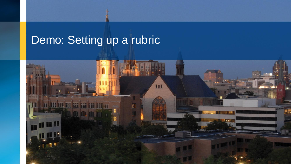### Demo: Setting up a rubric